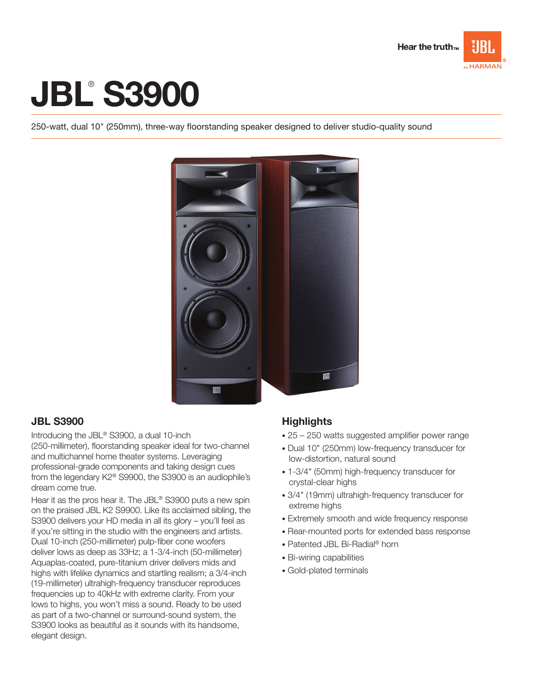

# **JBL® S3900**

250-watt, dual 10" (250mm), three-way floorstanding speaker designed to deliver studio-quality sound



## JBL S3900

Introducing the JBL® S3900, a dual 10-inch (250-millimeter), floorstanding speaker ideal for two-channel and multichannel home theater systems. Leveraging professional-grade components and taking design cues from the legendary K2® S9900, the S3900 is an audiophile's dream come true.

Hear it as the pros hear it. The JBL® S3900 puts a new spin on the praised JBL K2 S9900. Like its acclaimed sibling, the S3900 delivers your HD media in all its glory – you'll feel as if you're sitting in the studio with the engineers and artists. Dual 10-inch (250-millimeter) pulp-fiber cone woofers deliver lows as deep as 33Hz; a 1-3/4-inch (50-millimeter) Aquaplas-coated, pure-titanium driver delivers mids and highs with lifelike dynamics and startling realism; a 3/4-inch (19-millimeter) ultrahigh-frequency transducer reproduces frequencies up to 40kHz with extreme clarity. From your lows to highs, you won't miss a sound. Ready to be used as part of a two-channel or surround-sound system, the S3900 looks as beautiful as it sounds with its handsome, elegant design.

## **Highlights**

- 25 250 watts suggested amplifier power range
- Dual 10" (250mm) low-frequency transducer for low-distortion, natural sound
- 1-3/4" (50mm) high-frequency transducer for crystal-clear highs
- 3/4" (19mm) ultrahigh-frequency transducer for extreme highs
- Extremely smooth and wide frequency response
- Rear-mounted ports for extended bass response
- Patented JBL Bi-Radial® horn
- Bi-wiring capabilities
- Gold-plated terminals